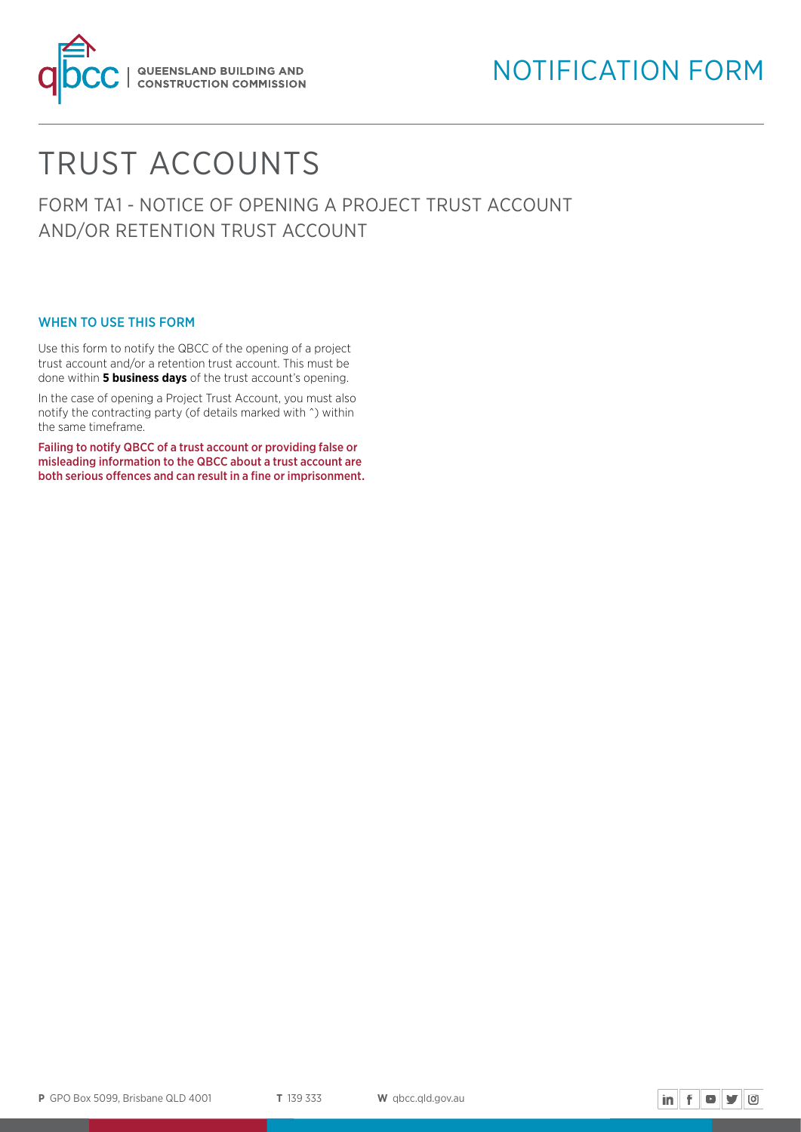

# TRUST ACCOUNTS

FORM TA1 - NOTICE OF OPENING A PROJECT TRUST ACCOUNT AND/OR RETENTION TRUST ACCOUNT

#### WHEN TO USE THIS FORM

Use this form to notify the QBCC of the opening of a project trust account and/or a retention trust account. This must be done within **5 business days** of the trust account's opening.

In the case of opening a Project Trust Account, you must also notify the contracting party (of details marked with ^) within the same timeframe.

Failing to notify QBCC of a trust account or providing false or misleading information to the QBCC about a trust account are both serious offences and can result in a fine or imprisonment.

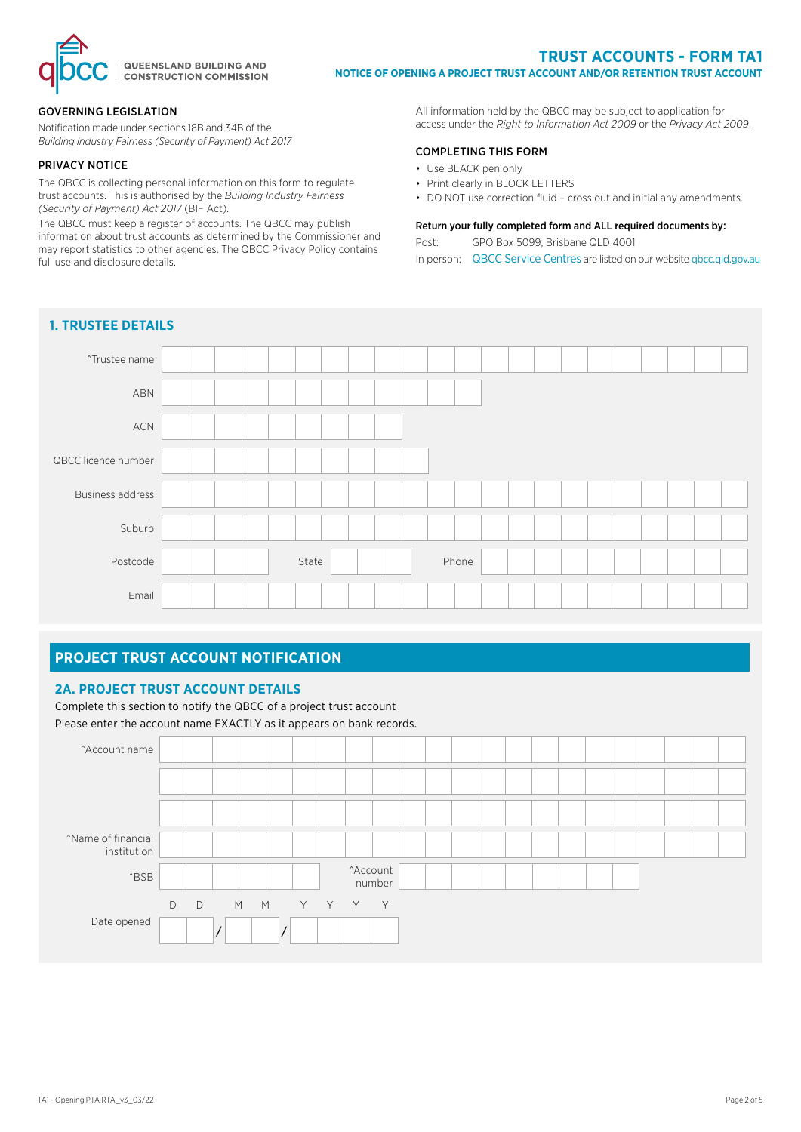

#### **TRUST ACCOUNTS - FORM TA1 NOTICE OF OPENING A PROJECT TRUST ACCOUNT AND/OR RETENTION TRUST ACCOUNT**

#### GOVERNING LEGISLATION

Notification made under sections 18B and 34B of the *Building Industry Fairness (Security of Payment) Act 2017* 

#### PRIVACY NOTICE

The QBCC is collecting personal information on this form to regulate trust accounts. This is authorised by the *Building Industry Fairness (Security of Payment) Act 2017* (BIF Act).

The QBCC must keep a register of accounts. The QBCC may publish information about trust accounts as determined by the Commissioner and may report statistics to other agencies. The QBCC Privacy Policy contains full use and disclosure details.

All information held by the QBCC may be subject to application for access under the *Right to Information Act 2009* or the *Privacy Act 2009*.

#### COMPLETING THIS FORM

- Use BLACK pen only
- Print clearly in BLOCK LETTERS
- DO NOT use correction fluid cross out and initial any amendments.

#### Return your fully completed form and ALL required documents by:

Post: GPO Box 5099, Brisbane QLD 4001

In person: QBCC Service Centres are listed on our website [qbcc.qld.gov.au](http://qbcc.qld.gov.au )



#### **PROJECT TRUST ACCOUNT NOTIFICATION**

#### **2A. PROJECT TRUST ACCOUNT DETAILS**

Complete this section to notify the QBCC of a project trust account Please enter the account name EXACTLY as it appears on bank records.

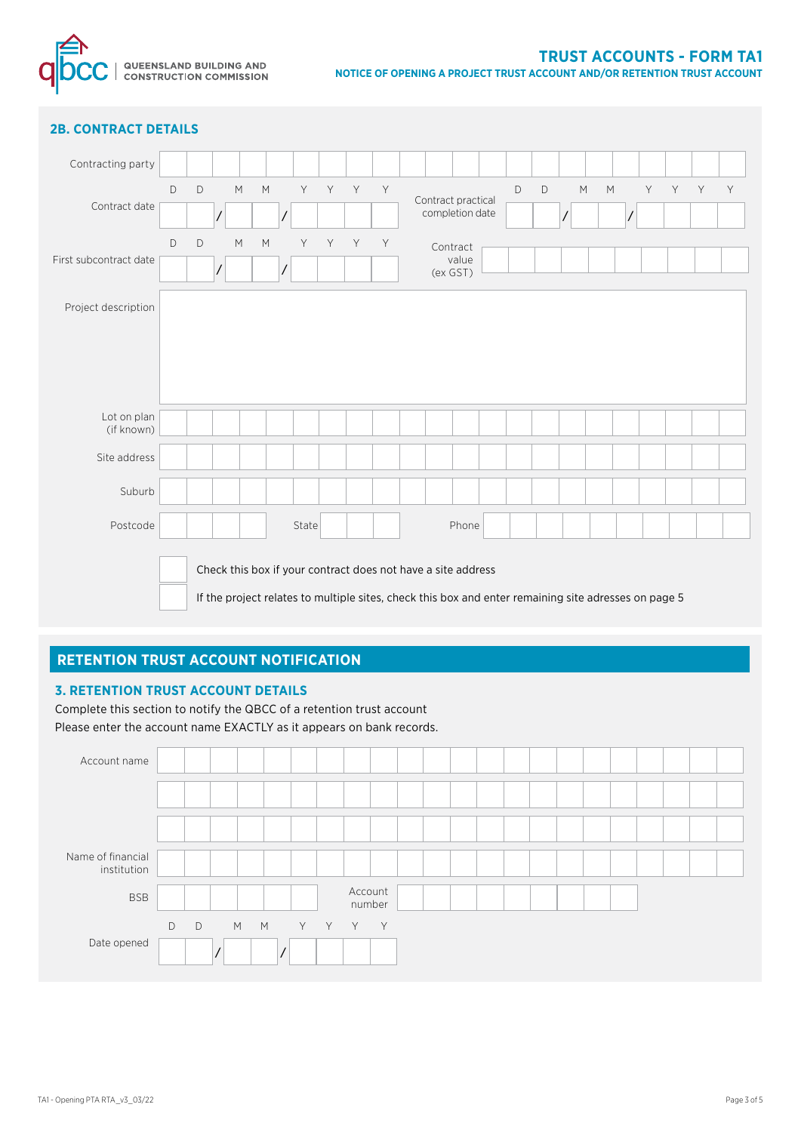

## **2B. CONTRACT DETAILS**

| Contracting party         |                                                                                                                                                                      |             |  |   |                    |  |       |       |   |   |                                       |          |  |   |   |   |   |       |  |   |
|---------------------------|----------------------------------------------------------------------------------------------------------------------------------------------------------------------|-------------|--|---|--------------------|--|-------|-------|---|---|---------------------------------------|----------|--|---|---|---|---|-------|--|---|
|                           | D                                                                                                                                                                    | $\mathsf D$ |  | M | M                  |  |       | Y Y Y |   | Y |                                       |          |  | D | D | M | M | Y Y Y |  | Y |
| Contract date             |                                                                                                                                                                      |             |  |   |                    |  |       |       |   |   | Contract practical<br>completion date |          |  |   |   |   |   |       |  |   |
|                           | D                                                                                                                                                                    | $\mathsf D$ |  | M | $\mathsf{M}% _{0}$ |  | Y     | Y     | Y | Y |                                       | Contract |  |   |   |   |   |       |  |   |
| First subcontract date    |                                                                                                                                                                      |             |  |   |                    |  |       |       |   |   | value<br>(ex GST)                     |          |  |   |   |   |   |       |  |   |
| Project description       |                                                                                                                                                                      |             |  |   |                    |  |       |       |   |   |                                       |          |  |   |   |   |   |       |  |   |
| Lot on plan<br>(if known) |                                                                                                                                                                      |             |  |   |                    |  |       |       |   |   |                                       |          |  |   |   |   |   |       |  |   |
| Site address              |                                                                                                                                                                      |             |  |   |                    |  |       |       |   |   |                                       |          |  |   |   |   |   |       |  |   |
| Suburb                    |                                                                                                                                                                      |             |  |   |                    |  |       |       |   |   |                                       |          |  |   |   |   |   |       |  |   |
| Postcode                  |                                                                                                                                                                      |             |  |   |                    |  | State |       |   |   |                                       | Phone    |  |   |   |   |   |       |  |   |
|                           | Check this box if your contract does not have a site address<br>If the project relates to multiple sites, check this box and enter remaining site adresses on page 5 |             |  |   |                    |  |       |       |   |   |                                       |          |  |   |   |   |   |       |  |   |

## **RETENTION TRUST ACCOUNT NOTIFICATION**

#### **3. RETENTION TRUST ACCOUNT DETAILS**

Complete this section to notify the QBCC of a retention trust account Please enter the account name EXACTLY as it appears on bank records.

| Account name                     |               |   |        |  |       |                   |  |  |  |  |  |  |  |
|----------------------------------|---------------|---|--------|--|-------|-------------------|--|--|--|--|--|--|--|
|                                  |               |   |        |  |       |                   |  |  |  |  |  |  |  |
|                                  |               |   |        |  |       |                   |  |  |  |  |  |  |  |
| Name of financial<br>institution |               |   |        |  |       |                   |  |  |  |  |  |  |  |
| <b>BSB</b>                       |               |   |        |  |       | Account<br>number |  |  |  |  |  |  |  |
| Date opened                      | $\mathsf{D}%$ | D | M<br>M |  | Y Y Y | Y                 |  |  |  |  |  |  |  |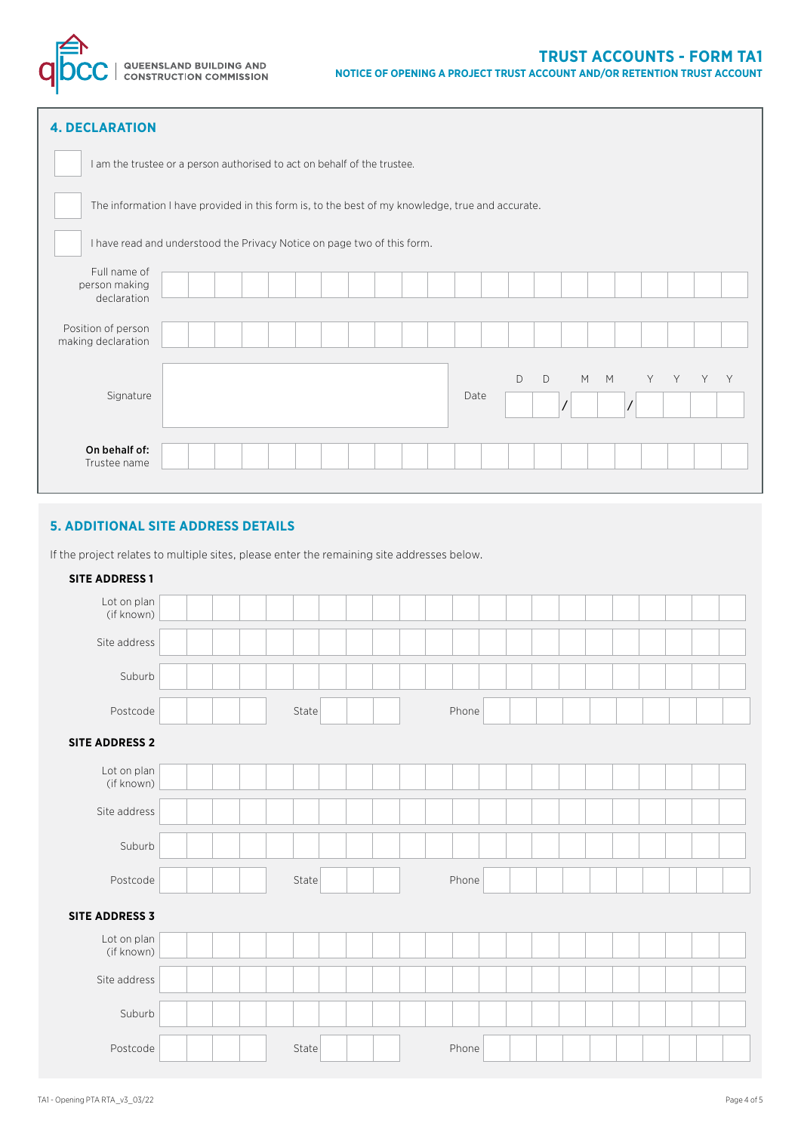

| <b>4. DECLARATION</b>                                                                            |  |  |  |  |  |  |  |  |      |   |   |   |   |  |       |   |
|--------------------------------------------------------------------------------------------------|--|--|--|--|--|--|--|--|------|---|---|---|---|--|-------|---|
| I am the trustee or a person authorised to act on behalf of the trustee.                         |  |  |  |  |  |  |  |  |      |   |   |   |   |  |       |   |
| The information I have provided in this form is, to the best of my knowledge, true and accurate. |  |  |  |  |  |  |  |  |      |   |   |   |   |  |       |   |
| I have read and understood the Privacy Notice on page two of this form.                          |  |  |  |  |  |  |  |  |      |   |   |   |   |  |       |   |
| Full name of<br>person making<br>declaration                                                     |  |  |  |  |  |  |  |  |      |   |   |   |   |  |       |   |
| Position of person<br>making declaration                                                         |  |  |  |  |  |  |  |  |      |   |   |   |   |  |       |   |
| Signature                                                                                        |  |  |  |  |  |  |  |  | Date | D | D | M | M |  | Y Y Y | Y |
| On behalf of:<br>Trustee name                                                                    |  |  |  |  |  |  |  |  |      |   |   |   |   |  |       |   |

## **5. ADDITIONAL SITE ADDRESS DETAILS**

If the project relates to multiple sites, please enter the remaining site addresses below.

| <b>SITE ADDRESS 1</b>     |       |       |  |  |
|---------------------------|-------|-------|--|--|
| Lot on plan<br>(if known) |       |       |  |  |
| Site address              |       |       |  |  |
| Suburb                    |       |       |  |  |
| Postcode                  | State | Phone |  |  |
| <b>SITE ADDRESS 2</b>     |       |       |  |  |
| Lot on plan<br>(if known) |       |       |  |  |
| Site address              |       |       |  |  |
| Suburb                    |       |       |  |  |
| Postcode                  | State | Phone |  |  |
| <b>SITE ADDRESS 3</b>     |       |       |  |  |
| Lot on plan<br>(if known) |       |       |  |  |
| Site address              |       |       |  |  |
| Suburb                    |       |       |  |  |
| Postcode                  | State | Phone |  |  |